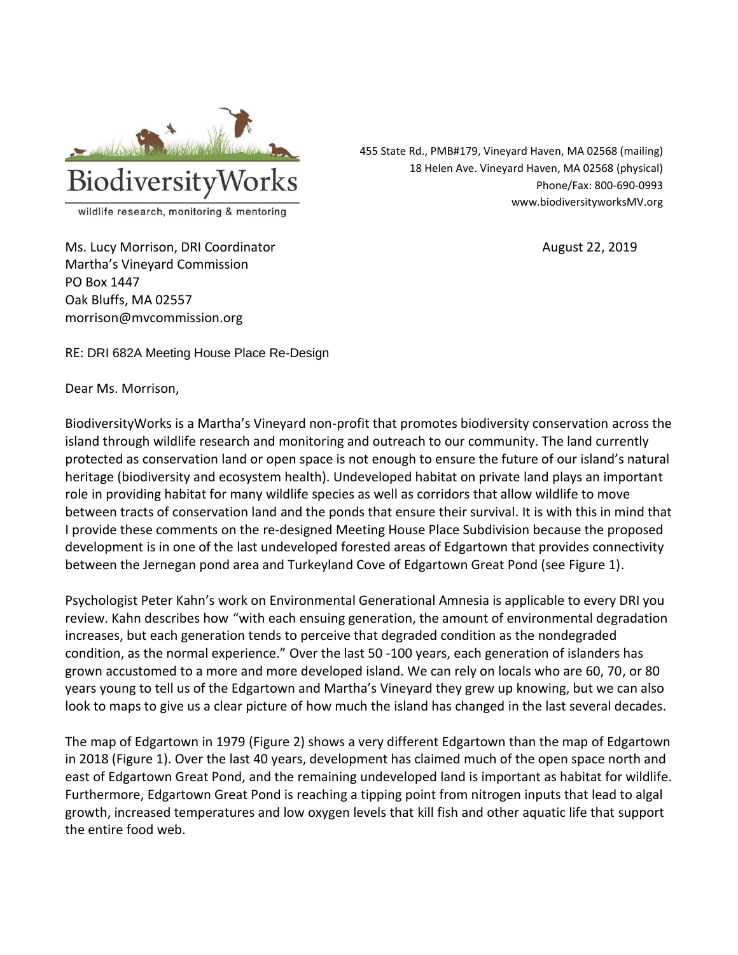

455 State Rd., PMB#179, Vineyard Haven, MA 02568 (mailing) 18 Helen Ave. Vineyard Haven, MA 02568 (physical) Phone/Fax: 800-690-0993 www.biodiversityworksMV.org

Ms. Lucy Morrison, DRI Coordinator **August 22, 2019** August 22, 2019 Martha's Vineyard Commission PO Box 1447 Oak Bluffs, MA 02557

morrison@mvcommission.org

RE: DRI 682A Meeting House Place Re-Design

Dear Ms. Morrison,

BiodiversityWorks is a Martha's Vineyard non-profit that promotes biodiversity conservation across the island through wildlife research and monitoring and outreach to our community. The land currently protected as conservation land or open space is not enough to ensure the future of our island's natural heritage (biodiversity and ecosystem health). Undeveloped habitat on private land plays an important role in providing habitat for many wildlife species as well as corridors that allow wildlife to move between tracts of conservation land and the ponds that ensure their survival. It is with this in mind that I provide these comments on the re-designed Meeting House Place Subdivision because the proposed development is in one of the last undeveloped forested areas of Edgartown that provides connectivity between the Jernegan pond area and Turkeyland Cove of Edgartown Great Pond (see Figure 1).

Psychologist Peter Kahn's work on Environmental Generational Amnesia is applicable to every DRI you review. Kahn describes how "with each ensuing generation, the amount of environmental degradation increases, but each generation tends to perceive that degraded condition as the nondegraded condition, as the normal experience." Over the last 50 -100 years, each generation of islanders has grown accustomed to a more and more developed island. We can rely on locals who are 60, 70, or 80 years young to tell us of the Edgartown and Martha's Vineyard they grew up knowing, but we can also look to maps to give us a clear picture of how much the island has changed in the last several decades.

The map of Edgartown in 1979 (Figure 2) shows a very different Edgartown than the map of Edgartown in 2018 (Figure 1). Over the last 40 years, development has claimed much of the open space north and east of Edgartown Great Pond, and the remaining undeveloped land is important as habitat for wildlife. Furthermore, Edgartown Great Pond is reaching a tipping point from nitrogen inputs that lead to algal growth, increased temperatures and low oxygen levels that kill fish and other aquatic life that support the entire food web.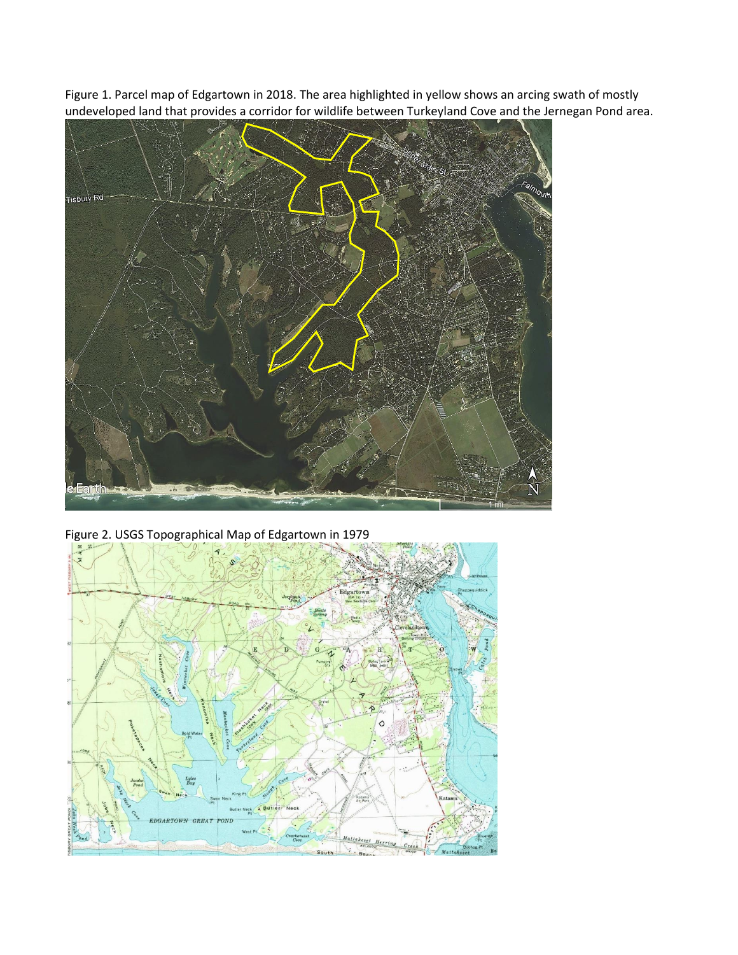Figure 1. Parcel map of Edgartown in 2018. The area highlighted in yellow shows an arcing swath of mostly undeveloped land that provides a corridor for wildlife between Turkeyland Cove and the Jernegan Pond area.



Figure 2. USGS Topographical Map of Edgartown in 1979